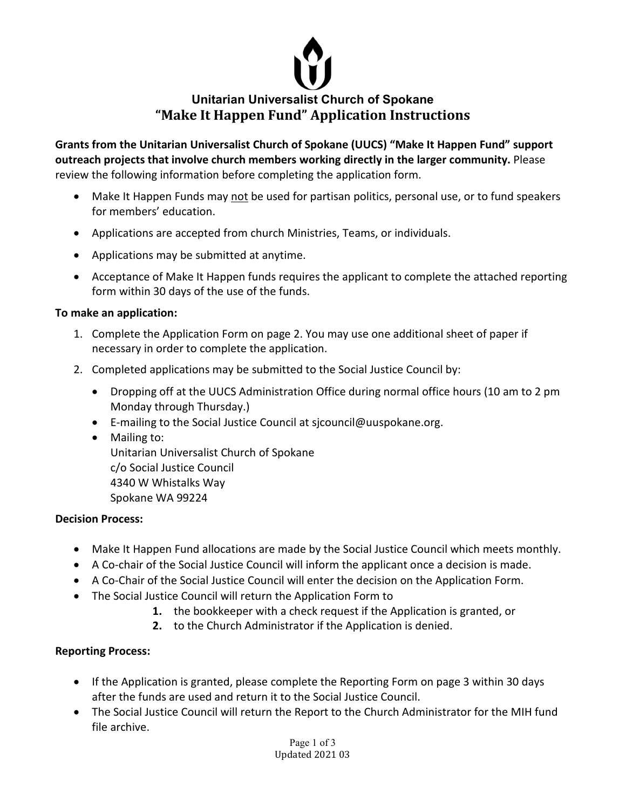

**Grants from the Unitarian Universalist Church of Spokane (UUCS) "Make It Happen Fund" support outreach projects that involve church members working directly in the larger community.** Please review the following information before completing the application form.

- Make It Happen Funds may not be used for partisan politics, personal use, or to fund speakers for members' education.
- Applications are accepted from church Ministries, Teams, or individuals.
- Applications may be submitted at anytime.
- Acceptance of Make It Happen funds requires the applicant to complete the attached reporting form within 30 days of the use of the funds.

## **To make an application:**

- 1. Complete the Application Form on page 2. You may use one additional sheet of paper if necessary in order to complete the application.
- 2. Completed applications may be submitted to the Social Justice Council by:
	- Dropping off at the UUCS Administration Office during normal office hours (10 am to 2 pm Monday through Thursday.)
	- E-mailing to the Social Justice Council at sjcouncil@uuspokane.org.
	- Mailing to: Unitarian Universalist Church of Spokane c/o Social Justice Council 4340 W Whistalks Way Spokane WA 99224

## **Decision Process:**

- Make It Happen Fund allocations are made by the Social Justice Council which meets monthly.
- A Co-chair of the Social Justice Council will inform the applicant once a decision is made.
- A Co-Chair of the Social Justice Council will enter the decision on the Application Form.
- The Social Justice Council will return the Application Form to
	- **1.** the bookkeeper with a check request if the Application is granted, or
	- **2.** to the Church Administrator if the Application is denied.

## **Reporting Process:**

- If the Application is granted, please complete the Reporting Form on page 3 within 30 days after the funds are used and return it to the Social Justice Council.
- The Social Justice Council will return the Report to the Church Administrator for the MIH fund file archive.

Page 1 of 3 Updated 2021 03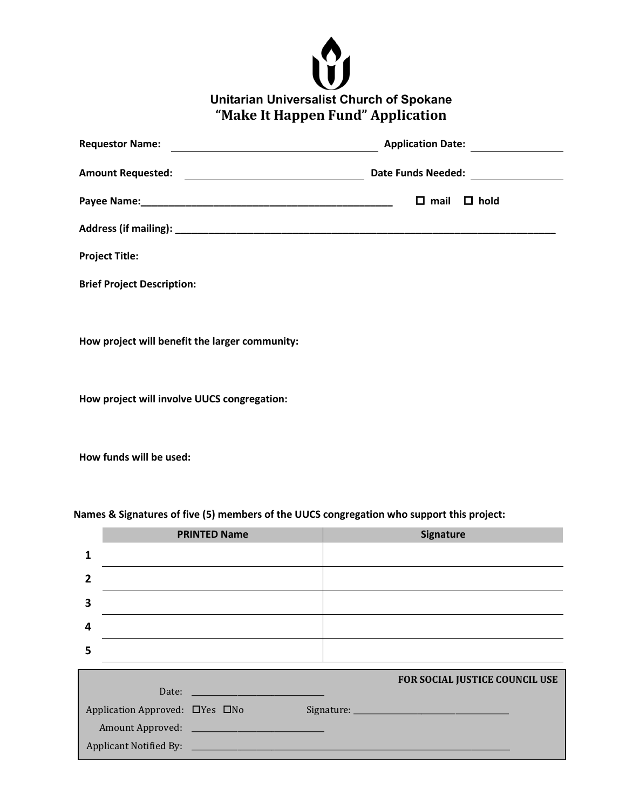

| Application Date:                                                                 |
|-----------------------------------------------------------------------------------|
| Date Funds Needed:<br><u> 1980 - Johann Barn, mars and de Brasilian (b. 1980)</u> |
| $\Box$ hold<br>$\square$ mail                                                     |
|                                                                                   |
|                                                                                   |
|                                                                                   |
|                                                                                   |
|                                                                                   |
|                                                                                   |

**How project will involve UUCS congregation:**

**How funds will be used:**

|                                              | <b>PRINTED Name</b> | Signature                      |  |  |
|----------------------------------------------|---------------------|--------------------------------|--|--|
|                                              |                     |                                |  |  |
|                                              |                     |                                |  |  |
| 3                                            |                     |                                |  |  |
| 4                                            |                     |                                |  |  |
| 5                                            |                     |                                |  |  |
|                                              |                     | FOR SOCIAL JUSTICE COUNCIL USE |  |  |
|                                              | Date:               |                                |  |  |
| Application Approved: UYes UNo<br>Signature: |                     |                                |  |  |

**Names & Signatures of five (5) members of the UUCS congregation who support this project:**

|                                            |                                                                                                                                                                                                                                      | <b>FOR SOCIAL JUSTICE COUNCIL USE</b> |
|--------------------------------------------|--------------------------------------------------------------------------------------------------------------------------------------------------------------------------------------------------------------------------------------|---------------------------------------|
| Date:                                      | <u>and the company of the company of the company of the company of the company of the company of the company of the company of the company of the company of the company of the company of the company of the company of the com</u> |                                       |
| Application Approved: $\Box$ Yes $\Box$ No |                                                                                                                                                                                                                                      |                                       |
|                                            |                                                                                                                                                                                                                                      |                                       |
| <b>Applicant Notified By:</b>              |                                                                                                                                                                                                                                      |                                       |
|                                            |                                                                                                                                                                                                                                      |                                       |